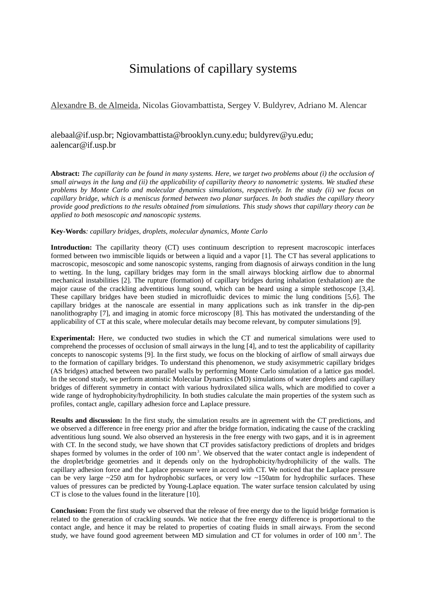## Simulations of capillary systems

Alexandre B. de Almeida, Nicolas Giovambattista, Sergey V. Buldyrev, Adriano M. Alencar

[alebaal@if.usp.br;](mailto:alebaal@if.usp.br) [Ngiovambattista@brooklyn.cuny.edu;](mailto:Ngiovambattista@brooklyn.cuny.edu) [buldyrev@yu.edu;](mailto:buldyrev@yu.edu) aalencar@if.usp.br

**Abstract:** *The capillarity can be found in many systems. Here, we target two problems about (i) the occlusion of small airways in the lung and (ii) the applicability of capillarity theory to nanometric systems. We studied these problems by Monte Carlo and molecular dynamics simulations, respectively. In the study (ii) we focus on capillary bridge, which is a meniscus formed between two planar surfaces. In both studies the capillary theory provide good predictions to the results obtained from simulations. This study shows that capillary theory can be applied to both mesoscopic and nanoscopic systems.* 

## **Key-Words***: capillary bridges, droplets, molecular dynamics, Monte Carlo*

**Introduction:** The capillarity theory (CT) uses continuum description to represent macroscopic interfaces formed between two immiscible liquids or between a liquid and a vapor [1]. The CT has several applications to macroscopic, mesoscopic and some nanoscopic systems, ranging from diagnosis of airways condition in the lung to wetting. In the lung, capillary bridges may form in the small airways blocking airflow due to abnormal mechanical instabilities [2]. The rupture (formation) of capillary bridges during inhalation (exhalation) are the major cause of the crackling adventitious lung sound, which can be heard using a simple stethoscope [3,4]. These capillary bridges have been studied in microfluidic devices to mimic the lung conditions [5,6]. The capillary bridges at the nanoscale are essential in many applications such as ink transfer in the dip-pen nanolithography [7], and imaging in atomic force microscopy [8]. This has motivated the understanding of the applicability of CT at this scale, where molecular details may become relevant, by computer simulations [9].

**Experimental:** Here, we conducted two studies in which the CT and numerical simulations were used to comprehend the processes of occlusion of small airways in the lung [4], and to test the applicability of capillarity concepts to nanoscopic systems [9]. In the first study, we focus on the blocking of airflow of small airways due to the formation of capillary bridges. To understand this phenomenon, we study axisymmetric capillary bridges (AS bridges) attached between two parallel walls by performing Monte Carlo simulation of a lattice gas model. In the second study, we perform atomistic Molecular Dynamics (MD) simulations of water droplets and capillary bridges of different symmetry in contact with various hydroxilated silica walls, which are modified to cover a wide range of hydrophobicity/hydrophilicity. In both studies calculate the main properties of the system such as profiles, contact angle, capillary adhesion force and Laplace pressure.

**Results and discussion:** In the first study, the simulation results are in agreement with the CT predictions, and we observed a difference in free energy prior and after the bridge formation, indicating the cause of the crackling adventitious lung sound. We also observed an hysteresis in the free energy with two gaps, and it is in agreement with CT. In the second study, we have shown that CT provides satisfactory predictions of droplets and bridges shapes formed by volumes in the order of 100  $\text{nm}^3$ . We observed that the water contact angle is independent of the droplet/bridge geometries and it depends only on the hydrophobicity/hydrophilicity of the walls. The capillary adhesion force and the Laplace pressure were in accord with CT. We noticed that the Laplace pressure can be very large  $\sim$ 250 atm for hydrophobic surfaces, or very low  $\sim$ 150atm for hydrophilic surfaces. These values of pressures can be predicted by Young-Laplace equation. The water surface tension calculated by using CT is close to the values found in the literature [10].

**Conclusion:** From the first study we observed that the release of free energy due to the liquid bridge formation is related to the generation of crackling sounds. We notice that the free energy difference is proportional to the contact angle, and hence it may be related to properties of coating fluids in small airways. From the second study, we have found good agreement between MD simulation and CT for volumes in order of 100 nm<sup>3</sup>. The